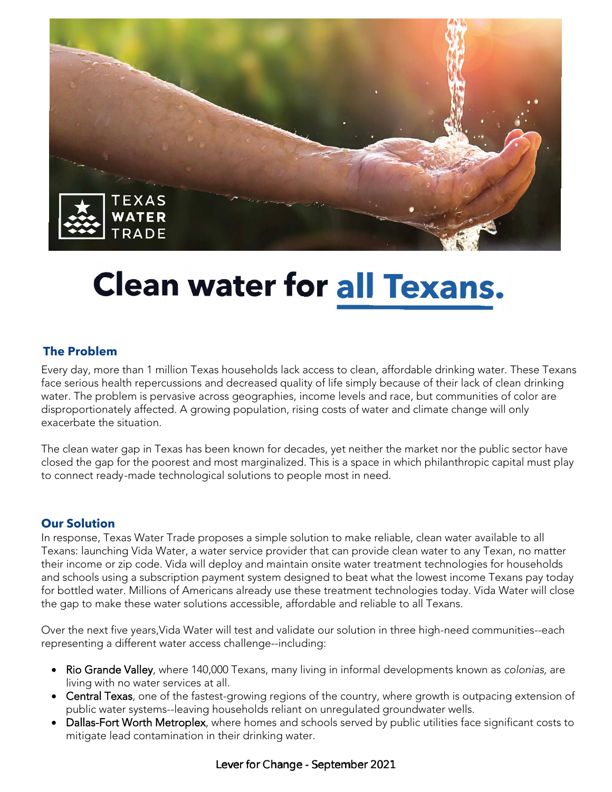

# **Clean water for all Texans.**

#### **The Problem**

Every day, more than 1 million Texas households lack access to clean, affordable drinking water. These Texans face serious health repercussions and decreased quality of life simply because of their lack of clean drinking water. The problem is pervasive across geographies, income levels and race, but communities of color are disproportionately affected. A growing population, rising costs of water and climate change will only exacerbate the situation.

The clean water gap in Texas has been known for decades, yet neither the market nor the public sector have closed the gap for the poorest and most marginalized. This is a space in which philanthropic capital must play to connect ready-made technological solutions to people most in need.

#### **Our Solution**

In response, Texas Water Trade proposes a simple solution to make reliable, clean water available to all Texans: launching Vida Water, a water service provider that can provide clean water to any Texan, no matter their income or zip code. Vida will deploy and maintain onsite water treatment technologies for households and schools using a subscription payment system designed to beat what the lowest income Texans pay today for bottled water. Millions of Americans already use these treatment technologies today. Vida Water will close the gap to make these water solutions accessible, affordable and reliable to all Texans.

Over the next five years,Vida Water will test and validate our solution in three high-need communities--each representing a different water access challenge--including:

- Rio Grande Valley, where 140,000 Texans, many living in informal developments known as colonias, are living with no water services at all.
- Central Texas, one of the fastest-growing regions of the country, where growth is outpacing extension of public water systems--leaving households reliant on unregulated groundwater wells.
- Dallas-Fort Worth Metroplex, where homes and schools served by public utilities face significant costs to mitigate lead contamination in their drinking water.